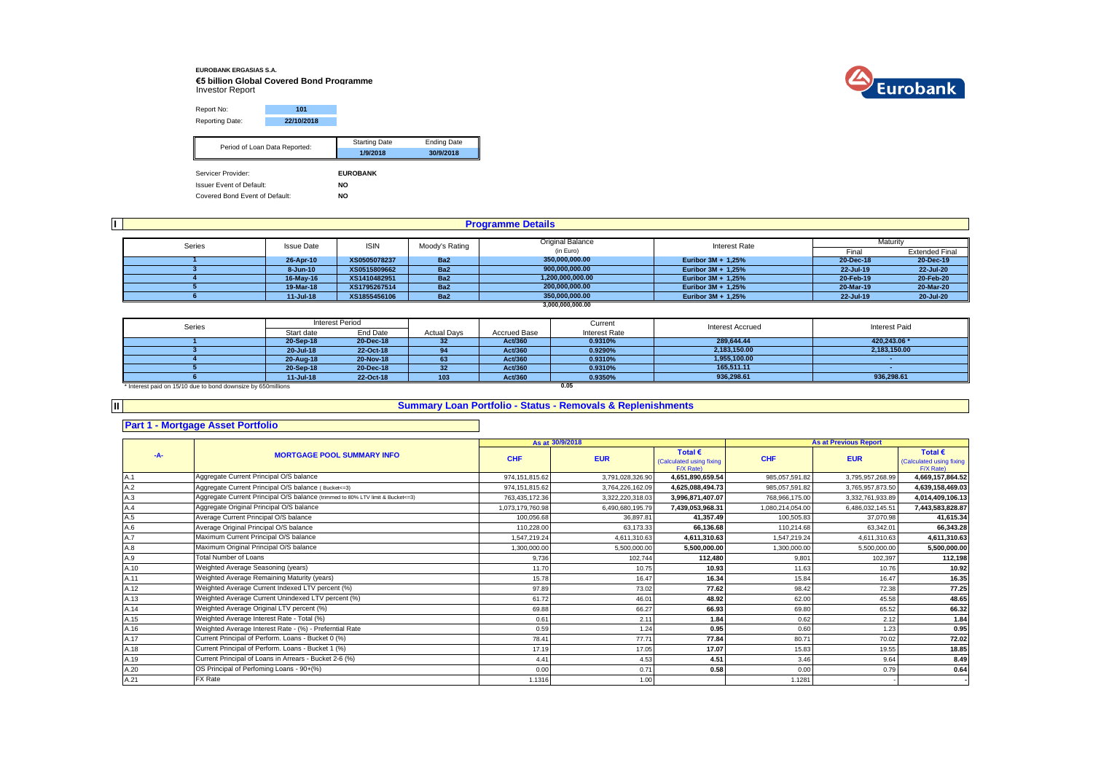# **EUROBANK ERGASIAS S.A. €5 billion Global Covered Bond Programme** Investor Report



Report No: **101** Reporting Date: **22/10/2018** Starting Date Ending Date **1/9/2018 30/9/2018** Servicer Provider: **EUROBANK**<br>
Issuer Event of Default: **EUROBANK Issuer Event of Default:** Period of Loan Data Reported:

Covered Bond Event of Default: **NO**

|        |                   |              |                 | <b>Programme Details</b> |                      |                                                                                                |           |
|--------|-------------------|--------------|-----------------|--------------------------|----------------------|------------------------------------------------------------------------------------------------|-----------|
|        |                   |              |                 |                          |                      |                                                                                                |           |
| Series | <b>Issue Date</b> | <b>ISIN</b>  | Moody's Rating  | <b>Original Balance</b>  | <b>Interest Rate</b> | Maturity<br><b>Extended Final</b><br>Final<br>20-Dec-19<br>20-Dec-18<br>22-Jul-20<br>22-Jul-19 |           |
|        |                   |              |                 | (in Euro)                |                      |                                                                                                |           |
|        | 26-Apr-10         | XS0505078237 | Ba <sub>2</sub> | 350,000,000.00           | Euribor $3M + 1.25%$ |                                                                                                |           |
|        | 8-Jun-10          | XS0515809662 | Ba <sub>2</sub> | 900,000,000.00           | Euribor $3M + 1,25%$ |                                                                                                |           |
|        | 16-May-16         | XS1410482951 | Ba <sub>2</sub> | 1,200,000,000.00         | Euribor $3M + 1,25%$ | 20-Feb-19                                                                                      | 20-Feb-20 |
|        | 19-Mar-18         | XS1795267514 | Ba <sub>2</sub> | 200,000,000.00           | Euribor $3M + 1,25%$ | 20-Mar-19                                                                                      | 20-Mar-20 |
|        | $11 -$ Jul-18     | XS1855456106 | Ba <sub>2</sub> | 350.000.000.00           | Euribor 3M + 1,25%   | 22-Jul-19                                                                                      | 20-Jul-20 |
|        |                   |              |                 | 3,000,000,000.00         |                      |                                                                                                |           |

| Series                                                       |               | Interest Period |                    |              | Current       | <b>Interest Accrued</b> | Interest Paid |
|--------------------------------------------------------------|---------------|-----------------|--------------------|--------------|---------------|-------------------------|---------------|
|                                                              | Start date    | End Date        | <b>Actual Days</b> | Accrued Base | Interest Rate |                         |               |
|                                                              | 20-Sep-18     | 20-Dec-18       | 32                 | Act/360      | 0.9310%       | 289.644.44              | 420.243.06 *  |
|                                                              | 20-Jul-18     | 22-Oct-18       |                    | Act/360      | 0.9290%       | 2,183,150.00            | 2,183,150.00  |
|                                                              | 20-Aug-18     | 20-Nov-18       | 63                 | Act/360      | 0.9310%       | 1,955,100.00            |               |
|                                                              | 20-Sep-18     | 20-Dec-18       | 32                 | Act/360      | 0.9310%       | 165.511.11              |               |
|                                                              | $11 -$ Jul-18 | 22-Oct-18       | 103                | Act/360      | 0.9350%       | 936,298.61              | 936.298.61    |
| * Interest paid on 15/10 due to bond downsize by 650millions |               |                 |                    |              | 0.05          |                         |               |

**II**

#### **Summary Loan Portfolio - Status - Removals & Replenishments**

#### **Part 1 - Mortgage Asset Portfolio**

|       |                                                                                  |                  | As at 30/9/2018  |                                                           |                  | <b>As at Previous Report</b> |                                                           |
|-------|----------------------------------------------------------------------------------|------------------|------------------|-----------------------------------------------------------|------------------|------------------------------|-----------------------------------------------------------|
| $-A-$ | <b>MORTGAGE POOL SUMMARY INFO</b>                                                | <b>CHF</b>       | <b>EUR</b>       | Total $\epsilon$<br>(Calculated using fixing<br>F/X Rate) | <b>CHF</b>       | <b>EUR</b>                   | Total $\epsilon$<br>(Calculated using fixing<br>F/X Rate) |
| A.1   | Aggregate Current Principal O/S balance                                          | 974, 151, 815.62 | 3,791,028,326.90 | 4,651,890,659.54                                          | 985,057,591.82   | 3,795,957,268.99             | 4,669,157,864.52                                          |
| A.2   | Aggregate Current Principal O/S balance (Bucket <= 3)                            | 974, 151, 815.62 | 3,764,226,162.09 | 4,625,088,494.73                                          | 985,057,591.82   | 3,765,957,873.50             | 4,639,158,469.03                                          |
| A.3   | Aggregate Current Principal O/S balance (trimmed to 80% LTV limit & Bucket <= 3) | 763,435,172.36   | 3,322,220,318.03 | 3,996,871,407.07                                          | 768.966.175.00   | 3.332.761.933.89             | 4,014,409,106.13                                          |
| A.4   | Aggregate Original Principal O/S balance                                         | 1,073,179,760.98 | 6,490,680,195.79 | 7,439,053,968.31                                          | 1,080,214,054.00 | 6,486,032,145.51             | 7,443,583,828.87                                          |
| A.5   | Average Current Principal O/S balance                                            | 100.056.68       | 36.897.81        | 41,357.49                                                 | 100.505.83       | 37.070.98                    | 41,615.34                                                 |
| A.6   | Average Original Principal O/S balance                                           | 110.228.00       | 63.173.33        | 66.136.68                                                 | 110.214.68       | 63.342.01                    | 66,343.28                                                 |
| A.7   | Maximum Current Principal O/S balance                                            | 1,547,219.24     | 4,611,310.63     | 4.611.310.63                                              | 1,547,219.24     | 4,611,310.63                 | 4,611,310.63                                              |
| A.8   | Maximum Original Principal O/S balance                                           | 1,300,000.00     | 5,500,000.00     | 5,500,000.00                                              | 1,300,000.00     | 5,500,000.00                 | 5,500,000.00                                              |
| A.9   | <b>Total Number of Loans</b>                                                     | 9.736            | 102.744          | 112.480                                                   | 9.801            | 102,397                      | 112,198                                                   |
| A.10  | Weighted Average Seasoning (years)                                               | 11.70            | 10.75            | 10.93                                                     | 11.63            | 10.76                        | 10.92                                                     |
| A.11  | Weighted Average Remaining Maturity (years)                                      | 15.78            | 16.47            | 16.34                                                     | 15.84            | 16.47                        | 16.35                                                     |
| A.12  | Weighted Average Current Indexed LTV percent (%)                                 | 97.89            | 73.02            | 77.62                                                     | 98.42            | 72.38                        | 77.25                                                     |
| A.13  | Weighted Average Current Unindexed LTV percent (%)                               | 61.72            | 46.01            | 48.92                                                     | 62.00            | 45.58                        | 48.65                                                     |
| A.14  | Weighted Average Original LTV percent (%)                                        | 69.88            | 66.27            | 66.93                                                     | 69.80            | 65.52                        | 66.32                                                     |
| A.15  | Weighted Average Interest Rate - Total (%)                                       | 0.61             | 2.11             | 1.84                                                      | 0.62             | 2.12                         | 1.84                                                      |
| A.16  | Weighted Average Interest Rate - (%) - Preferntial Rate                          | 0.59             | 1.24             | 0.95                                                      | 0.60             | 1.23                         | 0.95                                                      |
| A.17  | Current Principal of Perform. Loans - Bucket 0 (%)                               | 78.41            | 77.71            | 77.84                                                     | 80.71            | 70.02                        | 72.02                                                     |
| A.18  | Current Principal of Perform. Loans - Bucket 1 (%)                               | 17.19            | 17.05            | 17.07                                                     | 15.83            | 19.55                        | 18.85                                                     |
| A.19  | Current Principal of Loans in Arrears - Bucket 2-6 (%)                           | 4.41             | 4.53             | 4.51                                                      | 3.46             | 9.64                         | 8.49                                                      |
| A.20  | OS Principal of Perfoming Loans - 90+(%)                                         | 0.00             | 0.71             | 0.58                                                      | 0.00             | 0.79                         | 0.64                                                      |
| A.21  | <b>FX Rate</b>                                                                   | 1.1316           | 1.00             |                                                           | 1.1281           |                              |                                                           |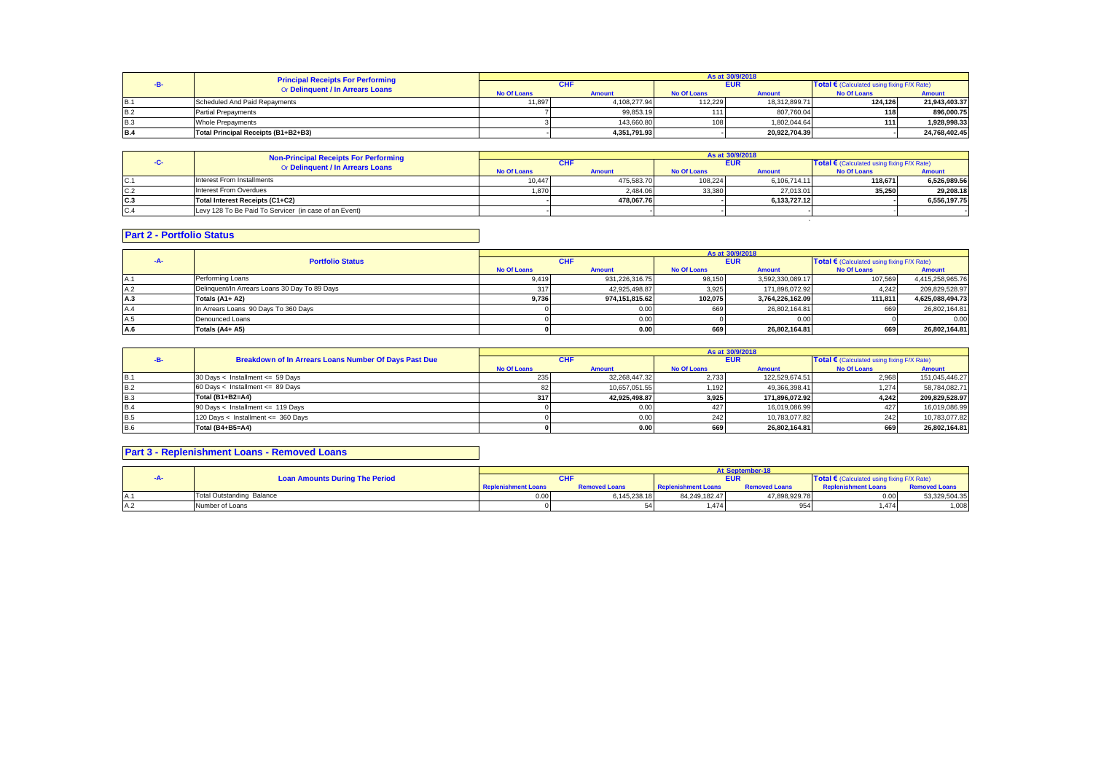|            | <b>Principal Receipts For Performing</b> | As at 30/9/2018    |               |                    |               |                                            |               |  |
|------------|------------------------------------------|--------------------|---------------|--------------------|---------------|--------------------------------------------|---------------|--|
|            | Or Delinquent / In Arrears Loans         |                    |               | <b>EUR</b>         |               | Total € (Calculated using fixing F/X Rate) |               |  |
|            |                                          | <b>No Of Loans</b> | <b>Amount</b> | <b>No Of Loans</b> | <b>Amount</b> | <b>No Of Loans</b>                         | <b>Amount</b> |  |
|            | Scheduled And Paid Repayments            | 11.897             | 4.108.277.94  | 112.229            | 18.312.899.71 | 124.126                                    | 21.943.403.37 |  |
| B.2        | <b>Partial Prepayments</b>               |                    | 99,853.19     | 111                | 807,760.04    | 118                                        | 896.000.75    |  |
| <b>B.3</b> | <b>Whole Prepayments</b>                 |                    | 143.660.80    | 108                | 1,802,044.64  | 111                                        | 1.928.998.33  |  |
| <b>B.4</b> | Total Principal Receipts (B1+B2+B3)      |                    | 4.351.791.93  |                    | 20.922.704.39 |                                            | 24.768.402.45 |  |

|     | <b>Non-Principal Receipts For Performing</b>          | As at 30/9/2018    |               |                    |               |                                            |               |  |
|-----|-------------------------------------------------------|--------------------|---------------|--------------------|---------------|--------------------------------------------|---------------|--|
|     | Or Delinquent / In Arrears Loans                      | <b>CHF</b>         |               | <b>EUR</b>         |               | Total € (Calculated using fixing F/X Rate) |               |  |
|     |                                                       | <b>No Of Loans</b> | <b>Amount</b> | <b>No Of Loans</b> | <b>Amount</b> | <b>No Of Loans</b>                         | <b>Amount</b> |  |
| C.1 | Interest From Installments                            | 10.447             | 475.583.70    | 108.224            | 6,106,714.11  | 118.671                                    | 6,526,989.56  |  |
| C.2 | Interest From Overdues                                | 1.870              | 2.484.06      | 33,380             | 27.013.01     | 35.250                                     | 29.208.18     |  |
| C.3 | Total Interest Receipts (C1+C2)                       |                    | 478.067.76    |                    | 6,133,727.12  |                                            | 6,556,197.75  |  |
| C.4 | Levy 128 To Be Paid To Servicer (in case of an Event) |                    |               |                    |               |                                            |               |  |
|     |                                                       |                    |               |                    |               |                                            |               |  |

### **Part 2 - Portfolio Status**

|     |                                               |             |                |                    | As at 30/9/2018  |                                              |                  |  |  |
|-----|-----------------------------------------------|-------------|----------------|--------------------|------------------|----------------------------------------------|------------------|--|--|
|     | <b>Portfolio Status</b>                       |             |                |                    | <b>EUR</b>       | Total € (Calculated using fixing $F/X$ Rate) |                  |  |  |
|     |                                               | No Of Loans | <b>Amount</b>  | <b>No Of Loans</b> | <b>Amount</b>    | No Of Loans                                  | <b>Amount</b>    |  |  |
|     | Performing Loans                              | 9,419       | 931.226.316.75 | 98,150             | 3,592,330,089.17 | 107,569                                      | 4,415,258,965.76 |  |  |
| A.2 | Delinquent/In Arrears Loans 30 Day To 89 Days | 317         | 42.925.498.87  | 3,925              | 171,896,072.92   | 4.242                                        | 209,829,528.97   |  |  |
| A.3 | Totals (A1+ A2)                               | 9,736       | 974.151.815.62 | 102.075            | 3,764,226,162.09 | 111.811                                      | 4,625,088,494.73 |  |  |
| A.4 | In Arrears Loans 90 Days To 360 Days          |             | 0.00           | 669                | 26.802.164.81    | 669                                          | 26,802,164.81    |  |  |
| A.5 | Denounced Loans                               |             | 0.00           |                    | 0.00             |                                              | 0.00             |  |  |
| A.6 | Totals (A4+ A5)                               |             | 0.00           | 669                | 26.802.164.81    | 669                                          | 26,802,164.81    |  |  |

|            |                                                       |                    |               |                    | As at 30/9/2018 |                                            | <b>Amount</b><br>151,045,446.27<br>58,784,082.71<br>209.829.528.97 |  |
|------------|-------------------------------------------------------|--------------------|---------------|--------------------|-----------------|--------------------------------------------|--------------------------------------------------------------------|--|
|            | Breakdown of In Arrears Loans Number Of Days Past Due |                    |               |                    | <b>EUR</b>      | Total € (Calculated using fixing F/X Rate) |                                                                    |  |
|            |                                                       | <b>No Of Loans</b> | <b>Amount</b> | <b>No Of Loans</b> | <b>Amount</b>   | <b>No Of Loans</b>                         |                                                                    |  |
| <b>B.1</b> | 30 Days < Installment <= 59 Days                      | 235                | 32.268.447.32 | 2,733              | 122.529.674.51  | 2.968                                      |                                                                    |  |
| <b>B.2</b> | $60$ Days < Installment <= 89 Days                    |                    | 10.657.051.55 | 1,192              | 49.366.398.41   | 1.274                                      |                                                                    |  |
| <b>B.3</b> | Total (B1+B2=A4)                                      | 317                | 42.925.498.87 | 3.925              | 171.896.072.92  | 4.242                                      |                                                                    |  |
| <b>B.4</b> | 90 Days < Installment <= 119 Days                     |                    | 0.00          | 427                | 16,019,086.99   | 427                                        | 16,019,086.99                                                      |  |
| <b>B.5</b> | 120 Days < Installment <= 360 Days                    |                    | 0.00          | 242                | 10.783.077.82   | 242                                        | 10,783,077.82                                                      |  |
| <b>B.6</b> | Total (B4+B5=A4)                                      |                    | 0.00          | 669                | 26,802,164.81   | 669                                        | 26,802,164.81                                                      |  |

## **Part 3 - Replenishment Loans - Removed Loans**

|          |                                       |                            |                      |                            | <b>At September-18</b> |                                                   |                      |
|----------|---------------------------------------|----------------------------|----------------------|----------------------------|------------------------|---------------------------------------------------|----------------------|
|          | <b>Loan Amounts During The Period</b> |                            |                      |                            | <b>EUR</b>             | <b>Total €</b> (Calculated using fixing F/X Rate) |                      |
|          |                                       | <b>Replenishment Loans</b> | <b>Removed Loans</b> | <b>Replenishment Loans</b> | <b>Removed Loans</b>   | <b>Replenishment Loans</b>                        | <b>Removed Loans</b> |
| $\wedge$ | <b>Total Outstanding Balance</b>      | 0.00                       | 6,145,238.18         | 84,249,182.47              | 47,898,929.78          | 0.00                                              | 53,329,504.35        |
| A.2      | Number of Loans                       |                            |                      | 1.474                      | 954                    | 1.474                                             | 1,008                |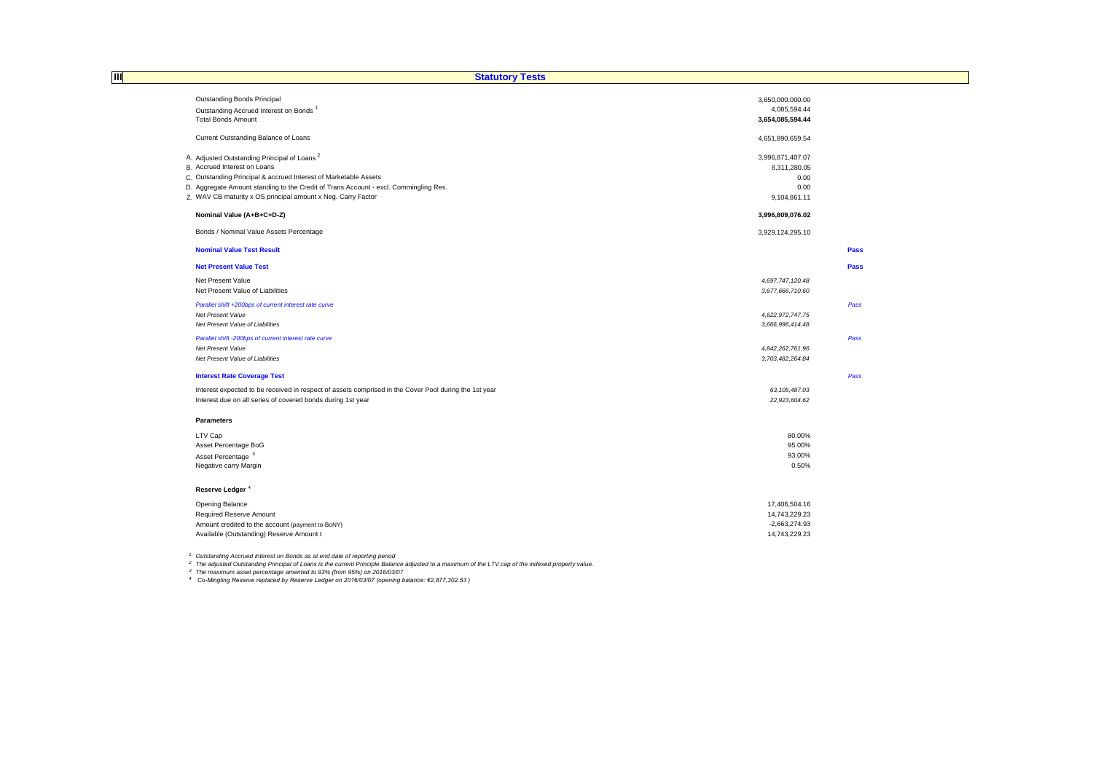| Ш<br><b>Statutory Tests</b>                                                                           |                  |      |
|-------------------------------------------------------------------------------------------------------|------------------|------|
|                                                                                                       |                  |      |
| <b>Outstanding Bonds Principal</b>                                                                    | 3,650,000,000.00 |      |
| Outstanding Accrued Interest on Bonds <sup>1</sup>                                                    | 4,085,594.44     |      |
| <b>Total Bonds Amount</b>                                                                             | 3,654,085,594.44 |      |
|                                                                                                       |                  |      |
| Current Outstanding Balance of Loans                                                                  | 4,651,890,659.54 |      |
| A. Adjusted Outstanding Principal of Loans <sup>2</sup>                                               | 3,996,871,407.07 |      |
| B. Accrued Interest on Loans                                                                          | 8,311,280.05     |      |
| C. Outstanding Principal & accrued Interest of Marketable Assets                                      | 0.00             |      |
| D. Aggregate Amount standing to the Credit of Trans. Account - excl. Commingling Res.                 | 0.00             |      |
| Z. WAV CB maturity x OS principal amount x Neg. Carry Factor                                          | 9,104,861.11     |      |
|                                                                                                       |                  |      |
| Nominal Value (A+B+C+D-Z)                                                                             | 3,996,809,076.02 |      |
| Bonds / Nominal Value Assets Percentage                                                               | 3,929,124,295.10 |      |
|                                                                                                       |                  |      |
| <b>Nominal Value Test Result</b>                                                                      |                  | Pass |
| <b>Net Present Value Test</b>                                                                         |                  | Pass |
|                                                                                                       |                  |      |
| Net Present Value                                                                                     | 4,697,747,120.48 |      |
| Net Present Value of Liabilities                                                                      | 3,677,666,710.60 |      |
| Parallel shift +200bps of current interest rate curve                                                 |                  | Pass |
| Net Present Value                                                                                     | 4,622,972,747.75 |      |
| Net Present Value of Liabilities                                                                      | 3,666,996,414.48 |      |
| Parallel shift -200bps of current interest rate curve                                                 |                  | Pass |
| Net Present Value                                                                                     | 4,842,262,761.96 |      |
| Net Present Value of Liabilities                                                                      | 3,703,482,264.84 |      |
| <b>Interest Rate Coverage Test</b>                                                                    |                  | Pass |
| Interest expected to be received in respect of assets comprised in the Cover Pool during the 1st year | 63, 105, 487.03  |      |
| Interest due on all series of covered bonds during 1st year                                           | 22,923,604.62    |      |
|                                                                                                       |                  |      |
| <b>Parameters</b>                                                                                     |                  |      |
| LTV Cap                                                                                               | 80.00%           |      |
| Asset Percentage BoG                                                                                  | 95.00%           |      |
| Asset Percentage <sup>3</sup>                                                                         | 93.00%           |      |
| Negative carry Margin                                                                                 | 0.50%            |      |
|                                                                                                       |                  |      |
| Reserve Ledger <sup>4</sup>                                                                           |                  |      |
| Opening Balance                                                                                       | 17,406,504.16    |      |
| Required Reserve Amount                                                                               | 14,743,229.23    |      |
| Amount credited to the account (payment to BoNY)                                                      | $-2,663,274.93$  |      |
| Available (Outstanding) Reserve Amount t                                                              | 14,743,229.23    |      |

<sup>1</sup> Outstanding Accrued Interest on Bonds as at end date of reporting period<br><sup>2</sup> The adjusted Outstanding Principal of Loans is the current Principle Balance adjusted to a maximum of the LTV cap of the indexed property val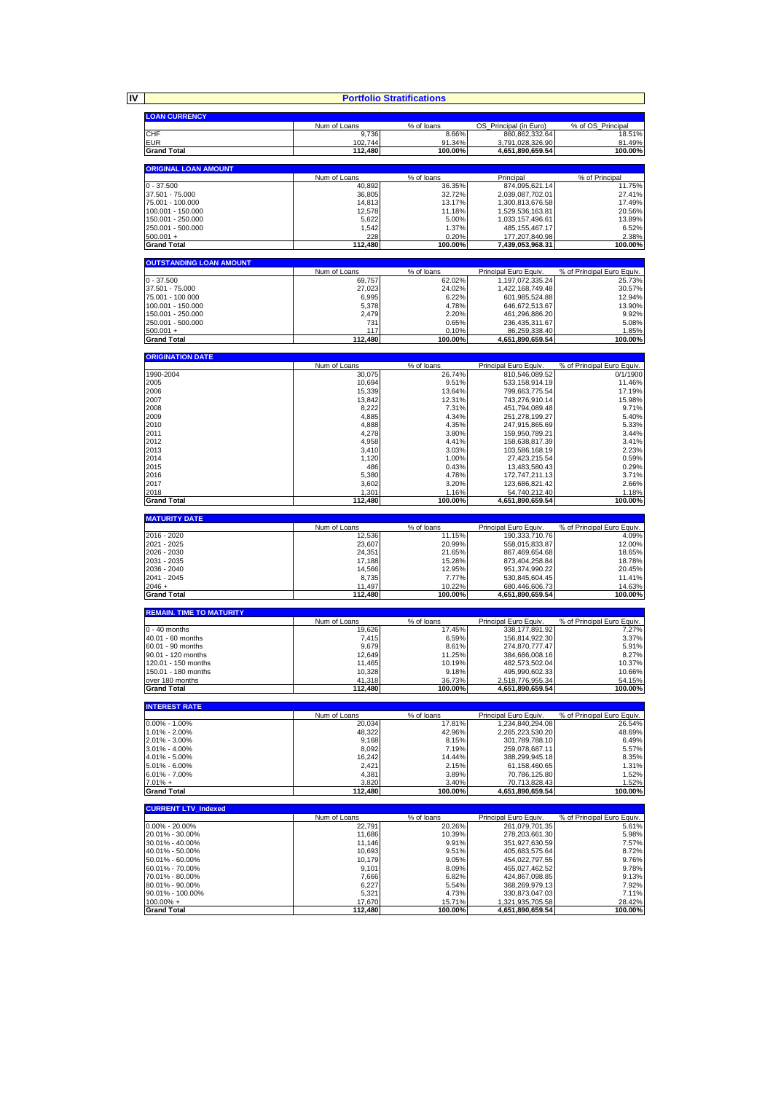**IV**

|                                           |                        | <b>Portfolio Stratifications</b> |                                            |                                        |
|-------------------------------------------|------------------------|----------------------------------|--------------------------------------------|----------------------------------------|
| <b>LOAN CURRENCY</b>                      |                        |                                  |                                            |                                        |
|                                           | Num of Loans           | % of loans                       | OS_Principal (in Euro)                     | % of OS Principal                      |
| CHF                                       | 9,736                  | 8.66%                            | 860,862,332.64                             | 18.51%                                 |
| EUR<br><b>Grand Total</b>                 | 102,744<br>112,480     | 91.34%<br>100.00%                | 3,791,028,326.90<br>4,651,890,659.54       | 81.49%<br>100.00%                      |
|                                           |                        |                                  |                                            |                                        |
| <b>ORIGINAL LOAN AMOUNT</b>               |                        |                                  |                                            |                                        |
| $0 - 37.500$                              | Num of Loans<br>40.892 | % of loans<br>36.35%             | Principal<br>874,095,621.14                | % of Principal<br>11.75%               |
| 37.501 - 75.000                           | 36,805                 | 32.72%                           | 2,039,087,702.01                           | 27.41%                                 |
| 75.001 - 100.000                          | 14,813                 | 13.17%                           | 1,300,813,676.58                           | 17.49%                                 |
| 100.001 - 150.000                         | 12,578                 | 11.18%                           | 1,529,536,163.81                           | 20.56%                                 |
| 150.001 - 250.000<br>250.001 - 500.000    | 5,622<br>1,542         | 5.00%<br>1.37%                   | 1,033,157,496.61<br>485, 155, 467. 17      | 13.89%<br>6.52%                        |
| $500.001 +$                               | 228                    | 0.20%                            | 177,207,840.98                             | 2.38%                                  |
| <b>Grand Total</b>                        | 112,480                | 100.00%                          | 7,439,053,968.31                           | 100.00%                                |
| <b>OUTSTANDING LOAN AMOUNT</b>            |                        |                                  |                                            |                                        |
|                                           | Num of Loans           | $\sqrt%$ of loans                | Principal Euro Equiv.                      | % of Principal Euro Equiv.             |
| 0 - 37.500                                | 69,757                 | 62.02%                           | 1,197,072,335.24                           | 25.73%                                 |
| 37.501 - 75.000                           | 27,023                 | 24.02%                           | 1,422,168,749.48                           | 30.57%                                 |
| 75.001 - 100.000<br>100.001 - 150.000     | 6,995<br>5,378         | 6.22%<br>4.78%                   | 601,985,524.88<br>646,672,513.67           | 12.94%<br>13.90%                       |
| 150.001 - 250.000                         | 2,479                  | 2.20%                            | 461,296,886.20                             | 9.92%                                  |
| 250.001 - 500.000                         | 731                    | 0.65%                            | 236,435,311.67                             | 5.08%                                  |
| $500.001 +$<br><b>Grand Total</b>         | 117<br>112,480         | 0.10%<br>100.00%                 | 86,259,338.40<br>4,651,890,659.54          | 1.85%<br>100.00%                       |
|                                           |                        |                                  |                                            |                                        |
| <b>ORIGINATION DATE</b>                   |                        |                                  |                                            |                                        |
|                                           | Num of Loans<br>30.075 | % of loans                       | Principal Euro Equiv                       | % of Principal Euro Equiv.<br>0/1/1900 |
| 1990-2004<br>2005                         | 10,694                 | 26.74%<br>9.51%                  | 810,546,089.52<br>533, 158, 914. 19        | 11.46%                                 |
| 2006                                      | 15,339                 | 13.64%                           | 799,663,775.54                             | 17.19%                                 |
| 2007                                      | 13,842                 | 12.31%                           | 743,276,910.14                             | 15.98%                                 |
| 2008<br>2009                              | 8,222<br>4,885         | 7.31%<br>4.34%                   | 451,794,089.48<br>251,278,199.27           | 9.71%<br>5.40%                         |
| 2010                                      | 4,888                  | 4.35%                            | 247,915,865.69                             | 5.33%                                  |
| 2011                                      | 4,278                  | 3.80%                            | 159,950,789.21                             | 3.44%                                  |
| 2012                                      | 4,958                  | 4.41%                            | 158,638,817.39                             | 3.41%                                  |
| 2013<br>2014                              | 3,410<br>1,120         | 3.03%<br>1.00%                   | 103,586,168.19<br>27,423,215.54            | 2.23%<br>0.59%                         |
| 2015                                      | 486                    | 0.43%                            | 13,483,580.43                              | 0.29%                                  |
| 2016                                      | 5,380                  | 4.78%                            | 172,747,211.13                             | 3.71%                                  |
| 2017<br>2018                              | 3,602<br>1,301         | 3.20%<br>1.16%                   | 123,686,821.42<br>54,740,212.40            | 2.66%<br>1.18%                         |
| <b>Grand Total</b>                        | 112,480                | 100.00%                          | 4,651,890,659.54                           | 100.00%                                |
|                                           |                        |                                  |                                            |                                        |
| <b>MATURITY DATE</b>                      | Num of Loans           | % of loans                       | Principal Euro Equiv                       | % of Principal Euro Equiv.             |
| 2016 - 2020                               | 12,536                 | 11.15%                           | 190,333,710.76                             | 4.09%                                  |
| 2021 - 2025                               | 23,607                 | 20.99%                           | 558,015,833.87                             | 12.00%                                 |
| 2026 - 2030<br>2031 - 2035                | 24,351<br>17,188       | 21.65%<br>15.28%                 | 867,469,654.68<br>873,404,258.84           | 18.65%<br>18.78%                       |
| 2036 - 2040                               | 14,566                 | 12.95%                           | 951,374,990.22                             | 20.45%                                 |
| 2041 - 2045                               | 8,735                  | 7.77%                            | 530,845,604.45                             | 11.41%                                 |
| $2046 +$<br><b>Grand Total</b>            | 11,497<br>112,480      | 10.22%<br>100.00%                | 680,446,606.73<br>4,651,890,659.54         | 14.63%<br>100.00%                      |
|                                           |                        |                                  |                                            |                                        |
| <b>REMAIN. TIME TO MATURITY</b>           |                        |                                  |                                            |                                        |
| $0 - 40$ months                           | Num of Loans<br>19,626 | % of loans<br>17.45%             | Principal Euro Equiv.<br>338, 177, 891. 92 | % of Principal Euro Equiv.<br>7.27%    |
| 40.01 - 60 months                         | 7,415                  | 6.59%                            | 156,814,922.30                             | 3.37%                                  |
| 60.01 - 90 months                         | 9,679                  | 8.61%                            | 274,870,777.47                             | 5.91%                                  |
| 90.01 - 120 months<br>120.01 - 150 months | 12.649                 | 11.25%                           | 384,686,008.16                             | 8.27%                                  |
|                                           |                        |                                  |                                            |                                        |
| 150.01 - 180 months                       | 11,465<br>10,328       | 10.19%<br>9.18%                  | 482,573,502.04<br>495,990,602.33           | 10.37%<br>10.66%                       |
| over 180 months                           | 41,318                 | 36.73%                           | 2,518,776,955.34                           |                                        |
| <b>Grand Total</b>                        | 112,480                | 100.00%                          | 4,651,890,659.54                           | 100.00%                                |
|                                           |                        |                                  |                                            |                                        |
| <b>INTEREST RATE</b>                      | Num of Loans           | % of loans                       | Principal Euro Equiv.                      | % of Principal Euro Equiv.             |
| $0.00\% - 1.00\%$                         | 20,034                 | 17.81%                           | 1.234.840.294.08                           | 26.54%                                 |
| 1.01% - 2.00%                             | 48,322                 | 42.96%                           | 2,265,223,530.20                           | 48.69%                                 |
| 2.01% - 3.00%<br>3.01% - 4.00%            | 9,168<br>8,092         | 8.15%<br>7.19%                   | 301,789,788.10<br>259,078,687.11           | 6.49%<br>5.57%                         |
| 4.01% - 5.00%                             | 16,242                 | 14.44%                           | 388,299,945.18                             | 8.35%                                  |
| 5.01% - 6.00%                             | 2,421                  | 2.15%                            | 61,158,460.65                              | 1.31%                                  |
| $6.01\% - 7.00\%$                         | 4,381                  | 3.89%                            | 70,786,125.80<br>70,713,828.43             | 1.52%                                  |
| $7.01% +$<br><b>Grand Total</b>           | 3,820<br>112,480       | 3.40%<br>100.00%                 | 4,651,890,659.54                           | 1.52%<br>100.00%                       |
|                                           |                        |                                  |                                            |                                        |
| <b>CURRENT LTV Indexed</b>                |                        |                                  |                                            |                                        |
| $0.00\% - 20.00\%$                        | Num of Loans<br>22,791 | % of loans<br>20.26%             | Principal Euro Equiv<br>261,079,701.35     | % of Principal Euro Equiv.<br>5.61%    |
| 20.01% - 30.00%                           | 11,686                 | 10.39%                           | 278,203,661.30                             | 5.98%                                  |
| 30.01% - 40.00%                           | 11,146                 | 9.91%                            | 351,927,630.59                             | 7.57%                                  |
| 40.01% - 50.00%<br>50.01% - 60.00%        | 10,693<br>10,179       | 9.51%<br>9.05%                   | 405,683,575.64<br>454,022,797.55           | 8.72%<br>9.76%                         |
| 60.01% - 70.00%                           | 9,101                  | 8.09%                            | 455,027,462.52                             | 9.78%                                  |
| 70.01% - 80.00%                           | 7,666                  | 6.82%                            | 424,867,098.85                             | 9.13%                                  |
| 80.01% - 90.00%<br>90.01% - 100.00%       | 6,227<br>5,321         | 5.54%<br>4.73%                   | 368,269,979.13<br>330,873,047.03           | 7.92%<br>7.11%                         |
| 100.00% +<br><b>Grand Total</b>           | 17,670<br>112,480      | 15.71%<br>100.00%                | 1,321,935,705.58<br>4,651,890,659.54       | 54.15%<br>28.42%<br>100.00%            |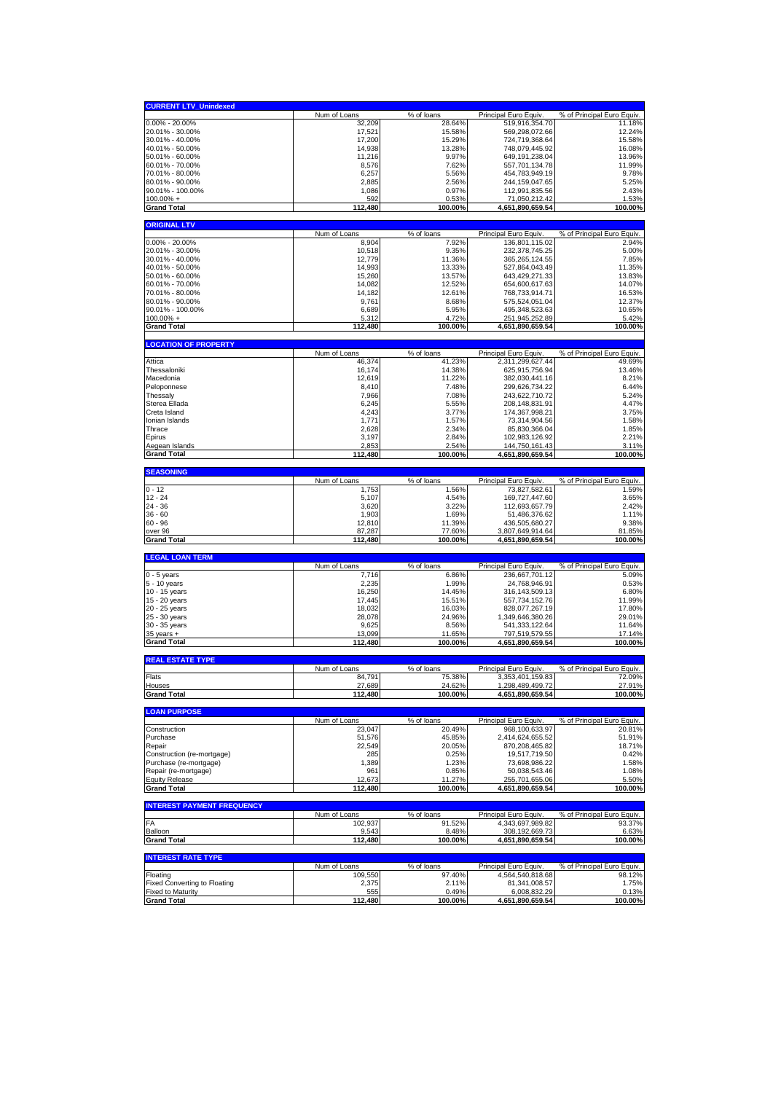| <b>CURRENT LTV_Unindexed</b>                   |                        |                      |                                           |                                      |
|------------------------------------------------|------------------------|----------------------|-------------------------------------------|--------------------------------------|
|                                                | Num of Loans           | % of loans           | Principal Euro Equiv                      | % of Principal Euro Equiv.           |
| $0.00\% - 20.00\%$                             | 32,209                 | 28.64%               | 519,916,354.70                            | 11.18%                               |
| 20.01% - 30.00%                                | 17,521                 | 15.58%               | 569,298,072.66                            | 12.24%                               |
| 30.01% - 40.00%                                | 17,200                 | 15.29%               | 724,719,368.64                            | 15.58%                               |
| 40.01% - 50.00%                                | 14,938                 | 13.28%               | 748,079,445.92                            | 16.08%                               |
| 50.01% - 60.00%                                | 11,216                 | 9.97%                | 649, 191, 238.04                          | 13.96%                               |
| 60.01% - 70.00%                                | 8,576                  | 7.62%                | 557,701,134.78                            | 11.99%                               |
| 70.01% - 80.00%<br>80.01% - 90.00%             | 6,257<br>2,885         | 5.56%<br>2.56%       | 454,783,949.19<br>244, 159, 047.65        | 9.78%<br>5.25%                       |
| 90.01% - 100.00%                               | 1,086                  | 0.97%                | 112,991,835.56                            | 2.43%                                |
| 100.00% +                                      | 592                    | 0.53%                | 71,050,212.42                             | 1.53%                                |
| <b>Grand Total</b>                             | 112,480                | 100.00%              | 4,651,890,659.54                          | 100.00%                              |
|                                                |                        |                      |                                           |                                      |
| <b>ORIGINAL LTV</b>                            | Num of Loans           |                      | Principal Euro Equiv.                     | % of Principal Euro Equiv.           |
| $0.00\% - 20.00\%$                             | 8,904                  | % of loans<br>7.92%  | 136,801,115.02                            | 2.94%                                |
| 20.01% - 30.00%                                | 10,518                 | 9.35%                | 232,378,745.25                            | 5.00%                                |
| 30.01% - 40.00%                                | 12,779                 | 11.36%               | 365, 265, 124.55                          | 7.85%                                |
| 40.01% - 50.00%                                | 14,993                 | 13.33%               | 527,864,043.49                            | 11.35%                               |
| 50.01% - 60.00%                                | 15,260                 | 13.57%               | 643,429,271.33                            | 13.83%                               |
| 60.01% - 70.00%                                | 14,082                 | 12.52%               | 654,600,617.63                            | 14.07%                               |
| 70.01% - 80.00%                                | 14,182                 | 12.61%               | 768,733,914.71                            | 16.53%                               |
| 80.01% - 90.00%                                | 9,761                  | 8.68%                | 575,524,051.04                            | 12.37%                               |
| 90.01% - 100.00%                               | 6,689                  | 5.95%                | 495,348,523.63                            | 10.65%                               |
| $100.00\% +$                                   | 5,312                  | 4.72%                | 251,945,252.89                            | 5.42%                                |
| <b>Grand Total</b>                             | 112,480                | 100.00%              | 4,651,890,659.54                          | 100.00%                              |
| <b>LOCATION OF PROPERTY</b>                    |                        |                      |                                           |                                      |
|                                                | Num of Loans           | % of loans           | Principal Euro Equiv                      | % of Principal Euro Equiv.           |
| Attica                                         | 46,374                 | 41.23%               | 2,311,299,627.44                          | 49.69%                               |
| Thessaloniki                                   | 16,174                 | 14.38%               | 625,915,756.94                            | 13.46%                               |
| Macedonia                                      | 12,619                 | 11.22%               | 382,030,441.16                            | 8.21%                                |
| Peloponnese                                    | 8,410                  | 7.48%                | 299,626,734.22                            | 6.44%                                |
| Thessaly                                       | 7,966                  | 7.08%                | 243,622,710.72                            | 5.24%                                |
| Sterea Ellada<br>Creta Island                  | 6,245<br>4,243         | 5.55%<br>3.77%       | 208,148,831.91                            | 4.47%                                |
| Ionian Islands                                 | 1,771                  | 1.57%                | 174,367,998.21<br>73,314,904.56           | 3.75%<br>1.58%                       |
| Thrace                                         | 2,628                  | 2.34%                | 85,830,366.04                             | 1.85%                                |
| Epirus                                         | 3,197                  | 2.84%                | 102,983,126.92                            | 2.21%                                |
| Aegean Islands                                 | 2,853                  | 2.54%                | 144,750,161.43                            | 3.11%                                |
| <b>Grand Total</b>                             | 112,480                | 100.00%              | 4,651,890,659.54                          | 100.00%                              |
|                                                |                        |                      |                                           |                                      |
| <b>SEASONING</b>                               | Num of Loans           | % of loans           | Principal Euro Equiv                      | % of Principal Euro Equiv.           |
| $0 - 12$                                       | 1,753                  | 1.56%                | 73,827,582.61                             | 1.59%                                |
| $12 - 24$                                      | 5,107                  | 4.54%                | 169,727,447.60                            | 3.65%                                |
| $24 - 36$                                      | 3,620                  | 3.22%                | 112,693,657.79                            | 2.42%                                |
| $36 - 60$                                      | 1,903                  | 1.69%                | 51,486,376.62                             | 1.11%                                |
| $60 - 96$                                      | 12,810                 | 11.39%               | 436,505,680.27                            | 9.38%                                |
| over 96                                        | 87,287                 | 77.60%               | 3,807,649,914.64                          | 81.85%                               |
| <b>Grand Total</b>                             | 112,480                | 100.00%              | 4,651,890,659.54                          | 100.00%                              |
| <b>LEGAL LOAN TERM</b>                         |                        |                      |                                           |                                      |
|                                                | Num of Loans           | % of loans           | Principal Euro Equiv                      | % of Principal Euro Equiv.           |
| $\overline{0}$ - 5 years                       | 7,716                  | 6.86%                | 236,667,701.12                            | 5.09%                                |
| 5 - 10 years                                   | 2,235                  | 1.99%                | 24,768,946.91                             | 0.53%<br>6.80%                       |
| 10 - 15 years                                  | 16,250                 | 14.45%               | 316, 143, 509. 13                         |                                      |
| 15 - 20 years<br>20 - 25 years                 | 17,445                 |                      |                                           |                                      |
| 25 - 30 years                                  |                        | 15.51%               | 557,734,152.76                            | 11.99%                               |
|                                                | 18,032                 | 16.03%               | 828,077,267.19                            | 17.80%                               |
|                                                | 28,078                 | 24.96%               | 1,349,646,380.26                          | 29.01%                               |
| 30 - 35 years<br>35 years +                    | 9,625<br>13,099        | 8.56%<br>11.65%      | 541,333,122.64<br>797,519,579.55          | 11.64%<br>17.14%                     |
| <b>Grand Total</b>                             | 112,480                | 100.00%              | 4,651,890,659.54                          | 100.00%                              |
|                                                |                        |                      |                                           |                                      |
| <b>REAL ESTATE TYPE</b>                        |                        |                      |                                           |                                      |
| Flats                                          | Num of Loans<br>84,791 | % of loans<br>75.38% | Principal Euro Equiv.<br>3,353,401,159.83 | % of Principal Euro Equiv.<br>72.09% |
| Houses                                         | 27,689                 | 24.62%               | 1,298,489,499.72                          | 27.91%                               |
| <b>Grand Total</b>                             | 112,480                | 100.00%              | 4,651,890,659.54                          | 100.00%                              |
|                                                |                        |                      |                                           |                                      |
| <b>LOAN PURPOSE</b>                            | Num of Loans           | % of loans           | Principal Euro Equiv.                     | % of Principal Euro Equiv.           |
| Construction                                   | 23,047                 | 20.49%               | 968,100,633.97                            | 20.81%                               |
| Purchase                                       | 51,576                 | 45.85%               | 2,414,624,655.52                          | 51.91%                               |
| Repair                                         | 22,549                 | 20.05%               | 870,208,465.82                            | 18.71%                               |
| Construction (re-mortgage)                     | 285                    | 0.25%                | 19,517,719.50                             | 0.42%                                |
| Purchase (re-mortgage)                         | 1,389                  | 1.23%                | 73,698,986.22                             | 1.58%                                |
| Repair (re-mortgage)                           | 961                    | 0.85%                | 50,038,543.46                             | 1.08%                                |
| <b>Equity Release</b><br><b>Grand Total</b>    | 12,673<br>112.480      | 11.27%<br>100.00%    | 255,701,655.06<br>4,651,890,659.54        | 5.50%<br>100.00%                     |
|                                                |                        |                      |                                           |                                      |
| <b>INTEREST PAYMENT FREQUENCY</b>              |                        |                      |                                           |                                      |
| FA                                             | Num of Loans           | % of loans           | Principal Euro Equiv.<br>4,343,697,989.82 | % of Principal Euro Equiv.<br>93.37% |
| Balloon                                        | 102,937<br>9,543       | 91.52%<br>8.48%      | 308, 192, 669. 73                         | 6.63%                                |
| <b>Grand Total</b>                             | 112,480                | 100.00%              | 4,651,890,659.54                          | 100.00%                              |
|                                                |                        |                      |                                           |                                      |
| <b>INTEREST RATE TYPE</b>                      | Num of Loans           | % of loans           |                                           | % of Principal Euro Equiv.           |
| Floating                                       | 109,550                | 97.40%               | Principal Euro Equiv<br>4,564,540,818.68  | 98.12%                               |
| <b>Fixed Converting to Floating</b>            | 2,375                  | 2.11%                | 81,341,008.57                             | 1.75%                                |
| <b>Fixed to Maturity</b><br><b>Grand Total</b> | 555<br>112,480         | 0.49%<br>100.00%     | 6,008,832.29<br>4,651,890,659.54          | 0.13%<br>100.00%                     |